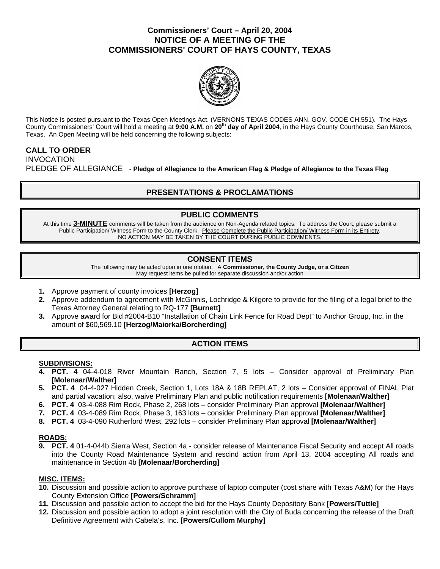### **Commissioners' Court – April 20, 2004 NOTICE OF A MEETING OF THE COMMISSIONERS' COURT OF HAYS COUNTY, TEXAS**



This Notice is posted pursuant to the Texas Open Meetings Act. (VERNONS TEXAS CODES ANN. GOV. CODE CH.551). The Hays County Commissioners' Court will hold a meeting at **9:00 A.M.** on **20th day of April 2004**, in the Hays County Courthouse, San Marcos, Texas. An Open Meeting will be held concerning the following subjects:

# **CALL TO ORDER**

INVOCATION PLEDGE OF ALLEGIANCE - **Pledge of Allegiance to the American Flag & Pledge of Allegiance to the Texas Flag** 

## **PRESENTATIONS & PROCLAMATIONS**

## **PUBLIC COMMENTS**

At this time **3-MINUTE** comments will be taken from the audience on Non-Agenda related topics. To address the Court, please submit a Public Participation/ Witness Form to the County Clerk. Please Complete the Public Participation/ Witness Form in its Entirety. NO ACTION MAY BE TAKEN BY THE COURT DURING PUBLIC COMMENTS.

## **CONSENT ITEMS**

The following may be acted upon in one motion. A **Commissioner, the County Judge, or a Citizen** May request items be pulled for separate discussion and/or action

- **1.** Approve payment of county invoices **[Herzog]**
- **2.** Approve addendum to agreement with McGinnis, Lochridge & Kilgore to provide for the filing of a legal brief to the Texas Attorney General relating to RQ-177 **[Burnett]**
- **3.** Approve award for Bid #2004-B10 "Installation of Chain Link Fence for Road Dept" to Anchor Group, Inc. in the amount of \$60,569.10 **[Herzog/Maiorka/Borcherding]**

## **ACTION ITEMS**

#### **SUBDIVISIONS:**

- **4. PCT. 4** 04-4-018 River Mountain Ranch, Section 7, 5 lots Consider approval of Preliminary Plan **[Molenaar/Walther]**
- **5. PCT. 4** 04-4-027 Hidden Creek, Section 1, Lots 18A & 18B REPLAT, 2 lots Consider approval of FINAL Plat and partial vacation; also, waive Preliminary Plan and public notification requirements **[Molenaar/Walther]**
- **6. PCT. 4** 03-4-088 Rim Rock, Phase 2, 268 lots consider Preliminary Plan approval **[Molenaar/Walther]**
- **7. PCT. 4** 03-4-089 Rim Rock, Phase 3, 163 lots consider Preliminary Plan approval **[Molenaar/Walther]**
- **8. PCT. 4** 03-4-090 Rutherford West, 292 lots consider Preliminary Plan approval **[Molenaar/Walther]**

## **ROADS:**

**9. PCT. 4** 01-4-044b Sierra West, Section 4a - consider release of Maintenance Fiscal Security and accept All roads into the County Road Maintenance System and rescind action from April 13, 2004 accepting All roads and maintenance in Section 4b **[Molenaar/Borcherding]** 

### **MISC. ITEMS:**

- **10.** Discussion and possible action to approve purchase of laptop computer (cost share with Texas A&M) for the Hays County Extension Office **[Powers/Schramm]**
- **11.** Discussion and possible action to accept the bid for the Hays County Depository Bank **[Powers/Tuttle]**
- **12.** Discussion and possible action to adopt a joint resolution with the City of Buda concerning the release of the Draft Definitive Agreement with Cabela's, Inc. **[Powers/Cullom Murphy]**